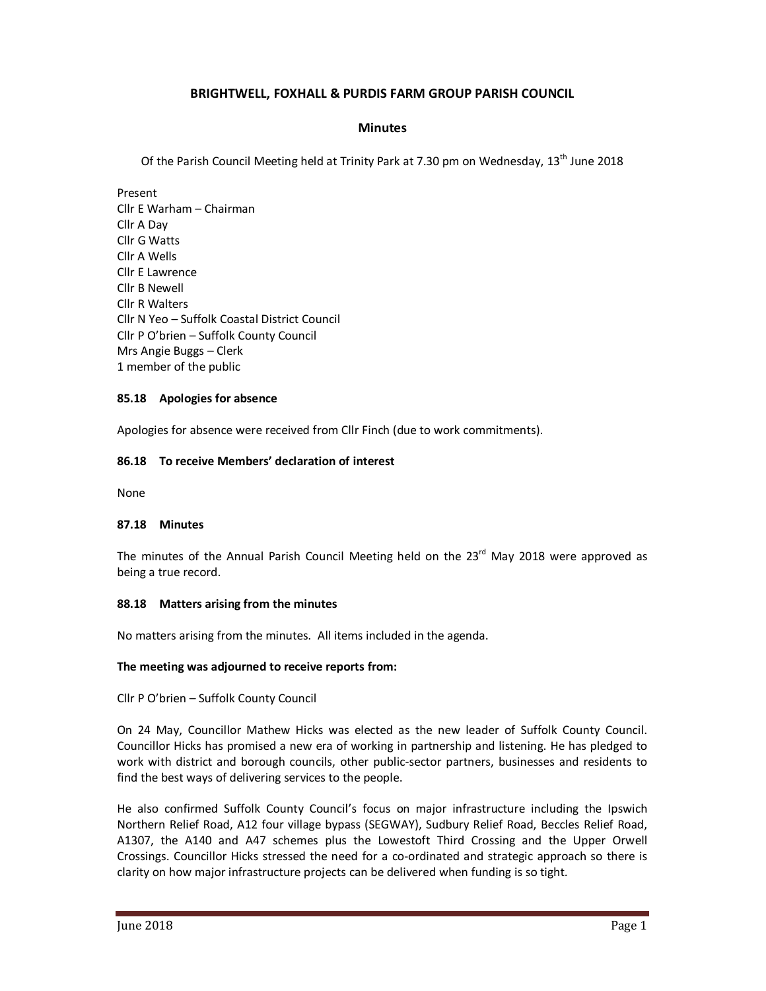# **BRIGHTWELL, FOXHALL & PURDIS FARM GROUP PARISH COUNCIL**

## **Minutes**

Of the Parish Council Meeting held at Trinity Park at 7.30 pm on Wednesday, 13<sup>th</sup> June 2018

Present Cllr E Warham – Chairman Cllr A Day Cllr G Watts Cllr A Wells Cllr E Lawrence Cllr B Newell Cllr R Walters Cllr N Yeo – Suffolk Coastal District Council Cllr P O'brien – Suffolk County Council Mrs Angie Buggs – Clerk 1 member of the public

### **85.18 Apologies for absence**

Apologies for absence were received from Cllr Finch (due to work commitments).

## **86.18 To receive Members' declaration of interest**

None

#### **87.18 Minutes**

The minutes of the Annual Parish Council Meeting held on the  $23<sup>rd</sup>$  May 2018 were approved as being a true record.

#### **88.18 Matters arising from the minutes**

No matters arising from the minutes. All items included in the agenda.

#### **The meeting was adjourned to receive reports from:**

Cllr P O'brien – Suffolk County Council

On 24 May, Councillor Mathew Hicks was elected as the new leader of Suffolk County Council. Councillor Hicks has promised a new era of working in partnership and listening. He has pledged to work with district and borough councils, other public-sector partners, businesses and residents to find the best ways of delivering services to the people.

He also confirmed Suffolk County Council's focus on major infrastructure including the Ipswich Northern Relief Road, A12 four village bypass (SEGWAY), Sudbury Relief Road, Beccles Relief Road, A1307, the A140 and A47 schemes plus the Lowestoft Third Crossing and the Upper Orwell Crossings. Councillor Hicks stressed the need for a co-ordinated and strategic approach so there is clarity on how major infrastructure projects can be delivered when funding is so tight.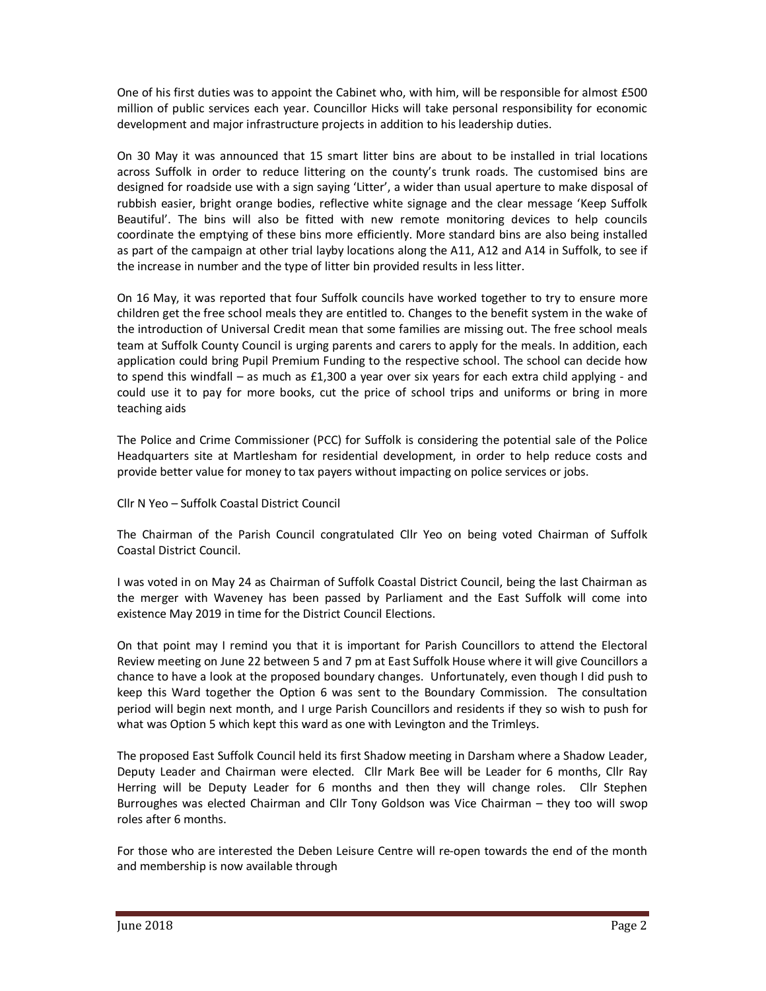One of his first duties was to appoint the Cabinet who, with him, will be responsible for almost £500 million of public services each year. Councillor Hicks will take personal responsibility for economic development and major infrastructure projects in addition to his leadership duties.

On 30 May it was announced that 15 smart litter bins are about to be installed in trial locations across Suffolk in order to reduce littering on the county's trunk roads. The customised bins are designed for roadside use with a sign saying 'Litter', a wider than usual aperture to make disposal of rubbish easier, bright orange bodies, reflective white signage and the clear message 'Keep Suffolk Beautiful'. The bins will also be fitted with new remote monitoring devices to help councils coordinate the emptying of these bins more efficiently. More standard bins are also being installed as part of the campaign at other trial layby locations along the A11, A12 and A14 in Suffolk, to see if the increase in number and the type of litter bin provided results in less litter.

On 16 May, it was reported that four Suffolk councils have worked together to try to ensure more children get the free school meals they are entitled to. Changes to the benefit system in the wake of the introduction of Universal Credit mean that some families are missing out. The free school meals team at Suffolk County Council is urging parents and carers to apply for the meals. In addition, each application could bring Pupil Premium Funding to the respective school. The school can decide how to spend this windfall – as much as £1,300 a year over six years for each extra child applying - and could use it to pay for more books, cut the price of school trips and uniforms or bring in more teaching aids

The Police and Crime Commissioner (PCC) for Suffolk is considering the potential sale of the Police Headquarters site at Martlesham for residential development, in order to help reduce costs and provide better value for money to tax payers without impacting on police services or jobs.

## Cllr N Yeo – Suffolk Coastal District Council

The Chairman of the Parish Council congratulated Cllr Yeo on being voted Chairman of Suffolk Coastal District Council.

I was voted in on May 24 as Chairman of Suffolk Coastal District Council, being the last Chairman as the merger with Waveney has been passed by Parliament and the East Suffolk will come into existence May 2019 in time for the District Council Elections.

On that point may I remind you that it is important for Parish Councillors to attend the Electoral Review meeting on June 22 between 5 and 7 pm at East Suffolk House where it will give Councillors a chance to have a look at the proposed boundary changes. Unfortunately, even though I did push to keep this Ward together the Option 6 was sent to the Boundary Commission. The consultation period will begin next month, and I urge Parish Councillors and residents if they so wish to push for what was Option 5 which kept this ward as one with Levington and the Trimleys.

The proposed East Suffolk Council held its first Shadow meeting in Darsham where a Shadow Leader, Deputy Leader and Chairman were elected. Cllr Mark Bee will be Leader for 6 months, Cllr Ray Herring will be Deputy Leader for 6 months and then they will change roles. Cllr Stephen Burroughes was elected Chairman and Cllr Tony Goldson was Vice Chairman – they too will swop roles after 6 months.

For those who are interested the Deben Leisure Centre will re-open towards the end of the month and membership is now available through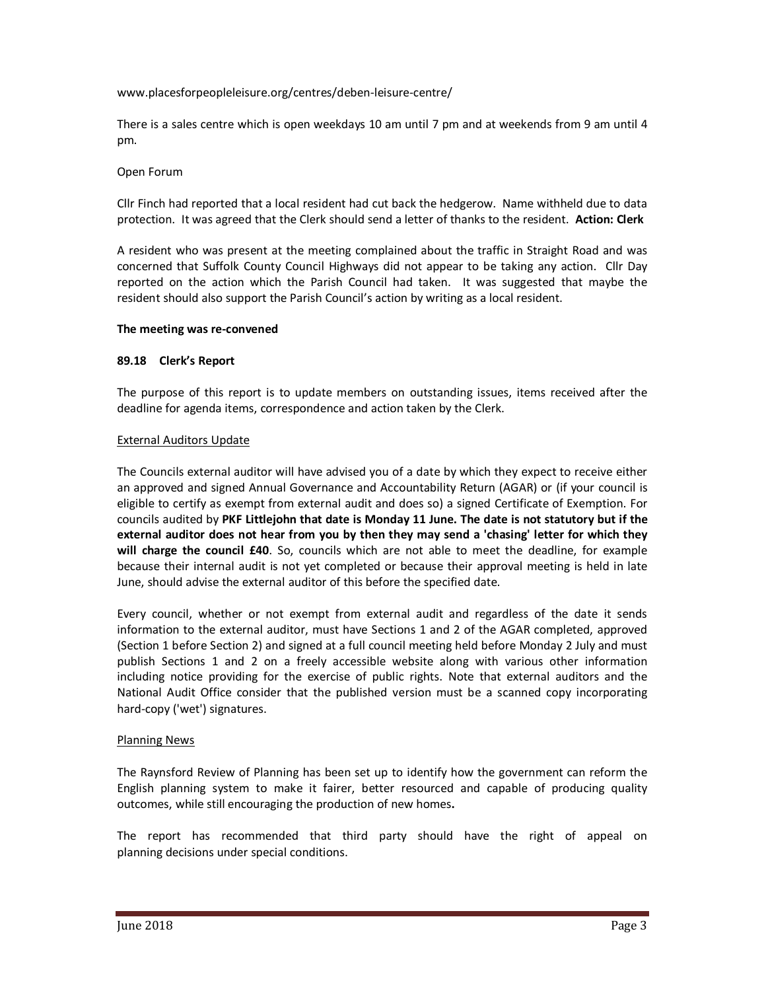### www.placesforpeopleleisure.org/centres/deben-leisure-centre/

There is a sales centre which is open weekdays 10 am until 7 pm and at weekends from 9 am until 4 pm.

### Open Forum

Cllr Finch had reported that a local resident had cut back the hedgerow. Name withheld due to data protection. It was agreed that the Clerk should send a letter of thanks to the resident. **Action: Clerk** 

A resident who was present at the meeting complained about the traffic in Straight Road and was concerned that Suffolk County Council Highways did not appear to be taking any action. Cllr Day reported on the action which the Parish Council had taken. It was suggested that maybe the resident should also support the Parish Council's action by writing as a local resident.

### **The meeting was re-convened**

### **89.18 Clerk's Report**

The purpose of this report is to update members on outstanding issues, items received after the deadline for agenda items, correspondence and action taken by the Clerk.

### External Auditors Update

The Councils external auditor will have advised you of a date by which they expect to receive either an approved and signed Annual Governance and Accountability Return (AGAR) or (if your council is eligible to certify as exempt from external audit and does so) a signed Certificate of Exemption. For councils audited by **PKF Littlejohn that date is Monday 11 June. The date is not statutory but if the external auditor does not hear from you by then they may send a 'chasing' letter for which they will charge the council £40**. So, councils which are not able to meet the deadline, for example because their internal audit is not yet completed or because their approval meeting is held in late June, should advise the external auditor of this before the specified date.

Every council, whether or not exempt from external audit and regardless of the date it sends information to the external auditor, must have Sections 1 and 2 of the AGAR completed, approved (Section 1 before Section 2) and signed at a full council meeting held before Monday 2 July and must publish Sections 1 and 2 on a freely accessible website along with various other information including notice providing for the exercise of public rights. Note that external auditors and the National Audit Office consider that the published version must be a scanned copy incorporating hard-copy ('wet') signatures.

#### Planning News

The Raynsford Review of Planning has been set up to identify how the government can reform the English planning system to make it fairer, better resourced and capable of producing quality outcomes, while still encouraging the production of new homes**.** 

The report has recommended that third party should have the right of appeal on planning decisions under special conditions.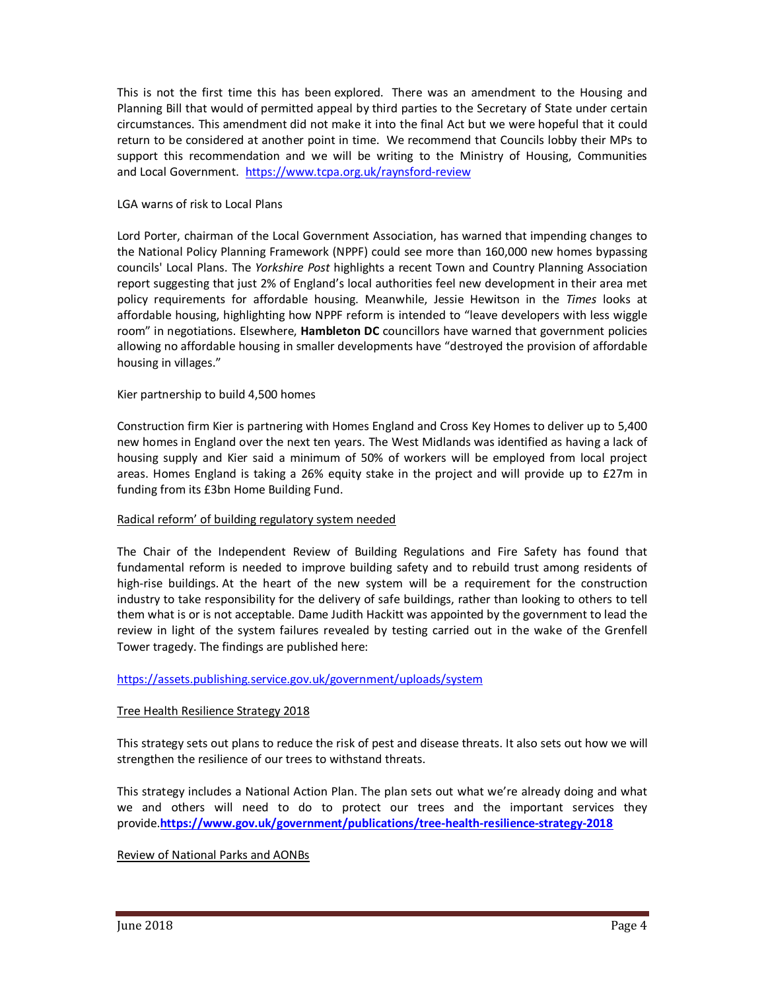This is not the first time this has been explored. There was an amendment to the Housing and Planning Bill that would of permitted appeal by third parties to the Secretary of State under certain circumstances. This amendment did not make it into the final Act but we were hopeful that it could return to be considered at another point in time. We recommend that Councils lobby their MPs to support this recommendation and we will be writing to the Ministry of Housing, Communities and Local Government. https://www.tcpa.org.uk/raynsford-review

### LGA warns of risk to Local Plans

Lord Porter, chairman of the Local Government Association, has warned that impending changes to the National Policy Planning Framework (NPPF) could see more than 160,000 new homes bypassing councils' Local Plans. The *Yorkshire Post* highlights a recent Town and Country Planning Association report suggesting that just 2% of England's local authorities feel new development in their area met policy requirements for affordable housing. Meanwhile, Jessie Hewitson in the *Times* looks at affordable housing, highlighting how NPPF reform is intended to "leave developers with less wiggle room" in negotiations. Elsewhere, **Hambleton DC** councillors have warned that government policies allowing no affordable housing in smaller developments have "destroyed the provision of affordable housing in villages."

### Kier partnership to build 4,500 homes

Construction firm Kier is partnering with Homes England and Cross Key Homes to deliver up to 5,400 new homes in England over the next ten years. The West Midlands was identified as having a lack of housing supply and Kier said a minimum of 50% of workers will be employed from local project areas. Homes England is taking a 26% equity stake in the project and will provide up to £27m in funding from its £3bn Home Building Fund.

## Radical reform' of building regulatory system needed

The Chair of the Independent Review of Building Regulations and Fire Safety has found that fundamental reform is needed to improve building safety and to rebuild trust among residents of high-rise buildings. At the heart of the new system will be a requirement for the construction industry to take responsibility for the delivery of safe buildings, rather than looking to others to tell them what is or is not acceptable. Dame Judith Hackitt was appointed by the government to lead the review in light of the system failures revealed by testing carried out in the wake of the Grenfell Tower tragedy. The findings are published here:

#### https://assets.publishing.service.gov.uk/government/uploads/system

## Tree Health Resilience Strategy 2018

This strategy sets out plans to reduce the risk of pest and disease threats. It also sets out how we will strengthen the resilience of our trees to withstand threats.

This strategy includes a National Action Plan. The plan sets out what we're already doing and what we and others will need to do to protect our trees and the important services they provide.**https://www.gov.uk/government/publications/tree-health-resilience-strategy-2018**

#### Review of National Parks and AONBs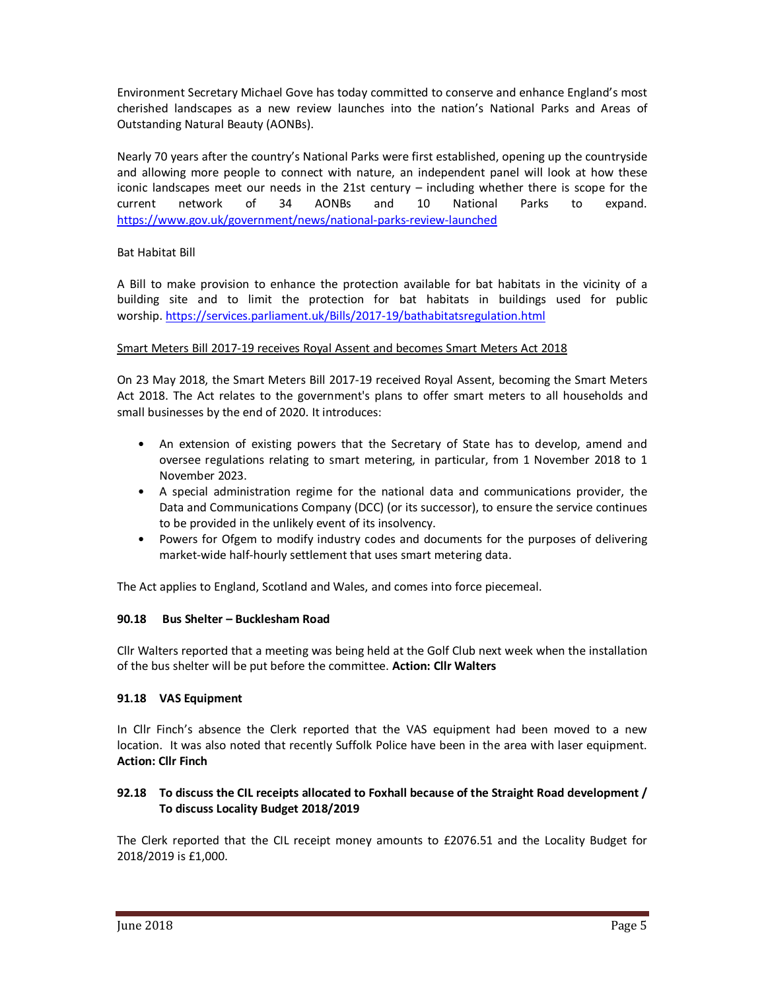Environment Secretary Michael Gove has today committed to conserve and enhance England's most cherished landscapes as a new review launches into the nation's National Parks and Areas of Outstanding Natural Beauty (AONBs).

Nearly 70 years after the country's National Parks were first established, opening up the countryside and allowing more people to connect with nature, an independent panel will look at how these iconic landscapes meet our needs in the 21st century – including whether there is scope for the current network of 34 AONBs and 10 National Parks to expand. https://www.gov.uk/government/news/national-parks-review-launched

## Bat Habitat Bill

A Bill to make provision to enhance the protection available for bat habitats in the vicinity of a building site and to limit the protection for bat habitats in buildings used for public worship. https://services.parliament.uk/Bills/2017-19/bathabitatsregulation.html

# Smart Meters Bill 2017-19 receives Royal Assent and becomes Smart Meters Act 2018

On 23 May 2018, the Smart Meters Bill 2017-19 received Royal Assent, becoming the Smart Meters Act 2018. The Act relates to the government's plans to offer smart meters to all households and small businesses by the end of 2020. It introduces:

- An extension of existing powers that the Secretary of State has to develop, amend and oversee regulations relating to smart metering, in particular, from 1 November 2018 to 1 November 2023.
- A special administration regime for the national data and communications provider, the Data and Communications Company (DCC) (or its successor), to ensure the service continues to be provided in the unlikely event of its insolvency.
- Powers for Ofgem to modify industry codes and documents for the purposes of delivering market-wide half-hourly settlement that uses smart metering data.

The Act applies to England, Scotland and Wales, and comes into force piecemeal.

## **90.18 Bus Shelter – Bucklesham Road**

Cllr Walters reported that a meeting was being held at the Golf Club next week when the installation of the bus shelter will be put before the committee. **Action: Cllr Walters** 

## **91.18 VAS Equipment**

In Cllr Finch's absence the Clerk reported that the VAS equipment had been moved to a new location. It was also noted that recently Suffolk Police have been in the area with laser equipment. **Action: Cllr Finch** 

## **92.18 To discuss the CIL receipts allocated to Foxhall because of the Straight Road development / To discuss Locality Budget 2018/2019**

The Clerk reported that the CIL receipt money amounts to £2076.51 and the Locality Budget for 2018/2019 is £1,000.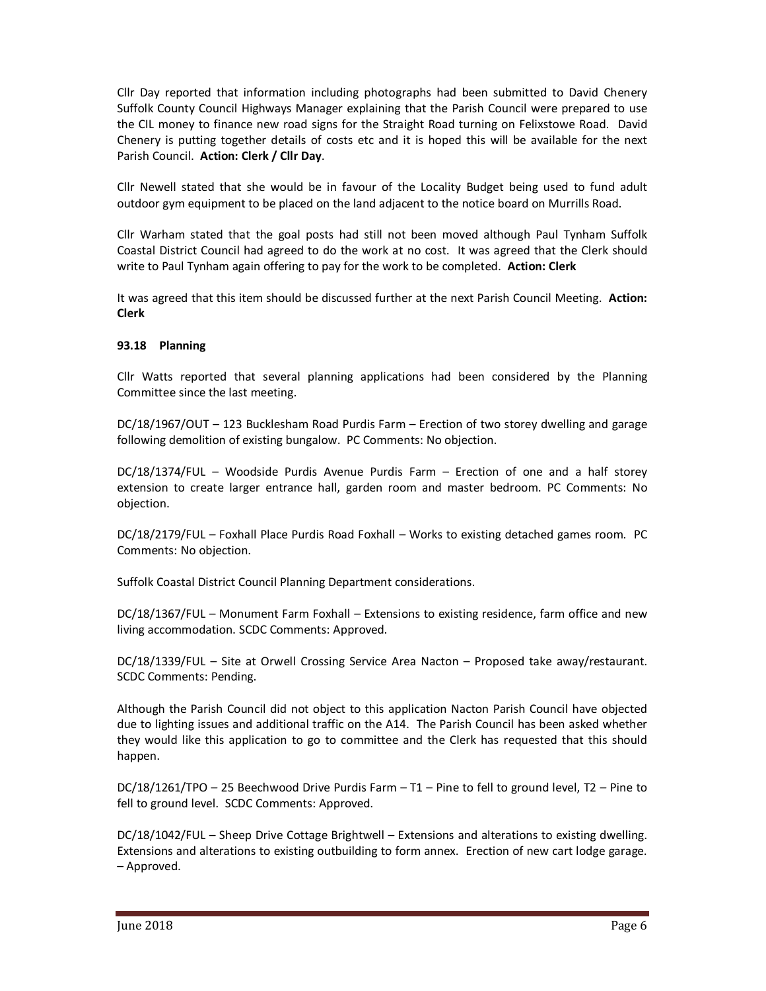Cllr Day reported that information including photographs had been submitted to David Chenery Suffolk County Council Highways Manager explaining that the Parish Council were prepared to use the CIL money to finance new road signs for the Straight Road turning on Felixstowe Road. David Chenery is putting together details of costs etc and it is hoped this will be available for the next Parish Council. **Action: Clerk / Cllr Day**.

Cllr Newell stated that she would be in favour of the Locality Budget being used to fund adult outdoor gym equipment to be placed on the land adjacent to the notice board on Murrills Road.

Cllr Warham stated that the goal posts had still not been moved although Paul Tynham Suffolk Coastal District Council had agreed to do the work at no cost. It was agreed that the Clerk should write to Paul Tynham again offering to pay for the work to be completed. **Action: Clerk**

It was agreed that this item should be discussed further at the next Parish Council Meeting. **Action: Clerk** 

#### **93.18 Planning**

Cllr Watts reported that several planning applications had been considered by the Planning Committee since the last meeting.

DC/18/1967/OUT – 123 Bucklesham Road Purdis Farm – Erection of two storey dwelling and garage following demolition of existing bungalow. PC Comments: No objection.

DC/18/1374/FUL – Woodside Purdis Avenue Purdis Farm – Erection of one and a half storey extension to create larger entrance hall, garden room and master bedroom. PC Comments: No objection.

DC/18/2179/FUL – Foxhall Place Purdis Road Foxhall – Works to existing detached games room. PC Comments: No objection.

Suffolk Coastal District Council Planning Department considerations.

DC/18/1367/FUL – Monument Farm Foxhall – Extensions to existing residence, farm office and new living accommodation. SCDC Comments: Approved.

DC/18/1339/FUL – Site at Orwell Crossing Service Area Nacton – Proposed take away/restaurant. SCDC Comments: Pending.

Although the Parish Council did not object to this application Nacton Parish Council have objected due to lighting issues and additional traffic on the A14. The Parish Council has been asked whether they would like this application to go to committee and the Clerk has requested that this should happen.

DC/18/1261/TPO – 25 Beechwood Drive Purdis Farm – T1 – Pine to fell to ground level, T2 – Pine to fell to ground level. SCDC Comments: Approved.

DC/18/1042/FUL – Sheep Drive Cottage Brightwell – Extensions and alterations to existing dwelling. Extensions and alterations to existing outbuilding to form annex. Erection of new cart lodge garage. – Approved.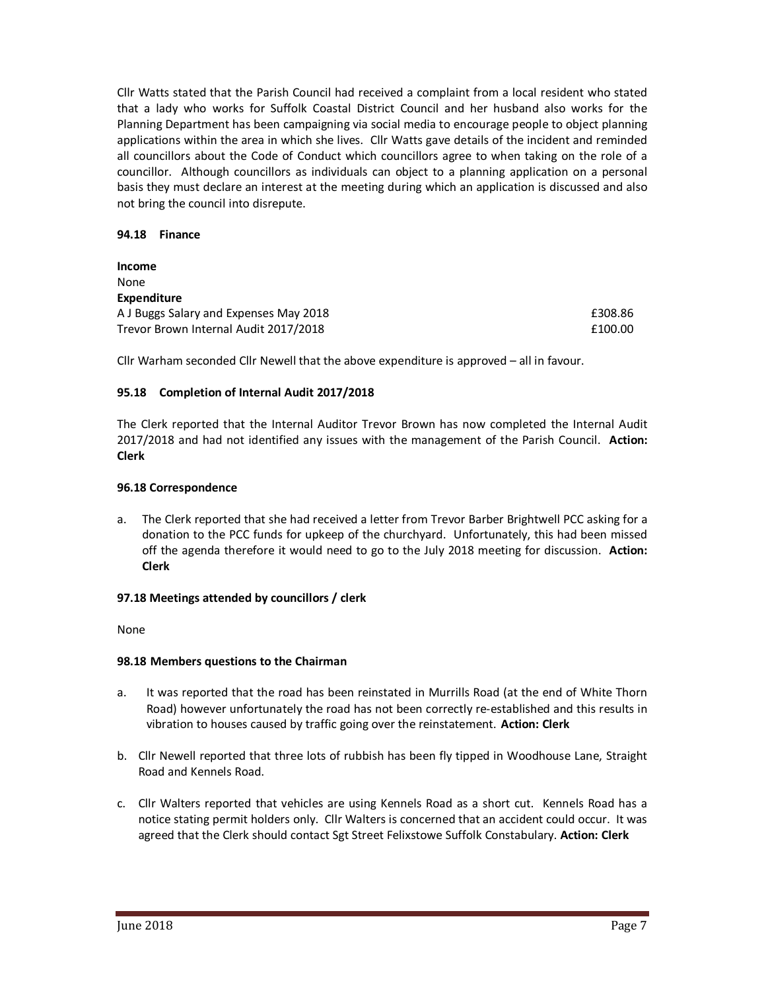Cllr Watts stated that the Parish Council had received a complaint from a local resident who stated that a lady who works for Suffolk Coastal District Council and her husband also works for the Planning Department has been campaigning via social media to encourage people to object planning applications within the area in which she lives. Cllr Watts gave details of the incident and reminded all councillors about the Code of Conduct which councillors agree to when taking on the role of a councillor. Although councillors as individuals can object to a planning application on a personal basis they must declare an interest at the meeting during which an application is discussed and also not bring the council into disrepute.

### **94.18 Finance**

| <b>Income</b>                          |         |
|----------------------------------------|---------|
| None                                   |         |
| <b>Expenditure</b>                     |         |
| A J Buggs Salary and Expenses May 2018 | £308.86 |
| Trevor Brown Internal Audit 2017/2018  | £100.00 |

Cllr Warham seconded Cllr Newell that the above expenditure is approved – all in favour.

## **95.18 Completion of Internal Audit 2017/2018**

The Clerk reported that the Internal Auditor Trevor Brown has now completed the Internal Audit 2017/2018 and had not identified any issues with the management of the Parish Council. **Action: Clerk** 

#### **96.18 Correspondence**

a. The Clerk reported that she had received a letter from Trevor Barber Brightwell PCC asking for a donation to the PCC funds for upkeep of the churchyard. Unfortunately, this had been missed off the agenda therefore it would need to go to the July 2018 meeting for discussion. **Action: Clerk**

#### **97.18 Meetings attended by councillors / clerk**

None

#### **98.18 Members questions to the Chairman**

- a. It was reported that the road has been reinstated in Murrills Road (at the end of White Thorn Road) however unfortunately the road has not been correctly re-established and this results in vibration to houses caused by traffic going over the reinstatement. **Action: Clerk**
- b. Cllr Newell reported that three lots of rubbish has been fly tipped in Woodhouse Lane, Straight Road and Kennels Road.
- c. Cllr Walters reported that vehicles are using Kennels Road as a short cut. Kennels Road has a notice stating permit holders only. Cllr Walters is concerned that an accident could occur. It was agreed that the Clerk should contact Sgt Street Felixstowe Suffolk Constabulary. **Action: Clerk**